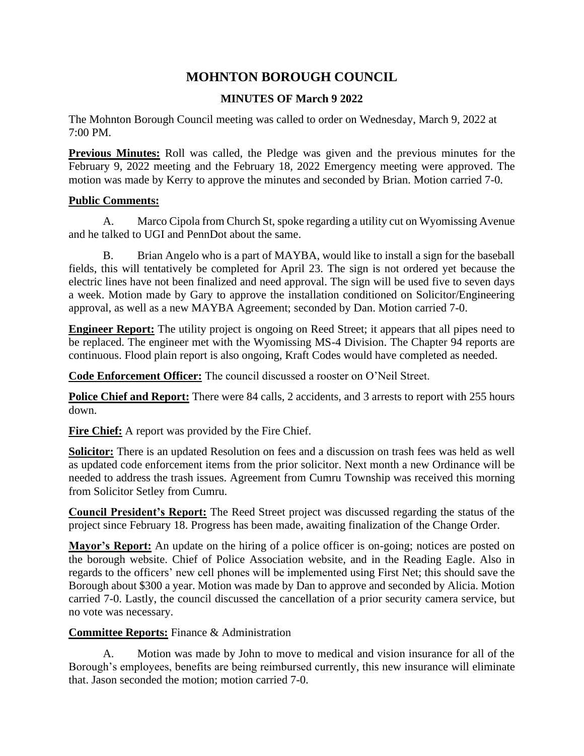# **MOHNTON BOROUGH COUNCIL**

## **MINUTES OF March 9 2022**

The Mohnton Borough Council meeting was called to order on Wednesday, March 9, 2022 at 7:00 PM.

**Previous Minutes:** Roll was called, the Pledge was given and the previous minutes for the February 9, 2022 meeting and the February 18, 2022 Emergency meeting were approved. The motion was made by Kerry to approve the minutes and seconded by Brian. Motion carried 7-0.

#### **Public Comments:**

A. Marco Cipola from Church St, spoke regarding a utility cut on Wyomissing Avenue and he talked to UGI and PennDot about the same.

B. Brian Angelo who is a part of MAYBA, would like to install a sign for the baseball fields, this will tentatively be completed for April 23. The sign is not ordered yet because the electric lines have not been finalized and need approval. The sign will be used five to seven days a week. Motion made by Gary to approve the installation conditioned on Solicitor/Engineering approval, as well as a new MAYBA Agreement; seconded by Dan. Motion carried 7-0.

**Engineer Report:** The utility project is ongoing on Reed Street; it appears that all pipes need to be replaced. The engineer met with the Wyomissing MS-4 Division. The Chapter 94 reports are continuous. Flood plain report is also ongoing, Kraft Codes would have completed as needed.

**Code Enforcement Officer:** The council discussed a rooster on O'Neil Street.

**Police Chief and Report:** There were 84 calls, 2 accidents, and 3 arrests to report with 255 hours down.

Fire Chief: A report was provided by the Fire Chief.

**Solicitor:** There is an updated Resolution on fees and a discussion on trash fees was held as well as updated code enforcement items from the prior solicitor. Next month a new Ordinance will be needed to address the trash issues. Agreement from Cumru Township was received this morning from Solicitor Setley from Cumru.

**Council President's Report:** The Reed Street project was discussed regarding the status of the project since February 18. Progress has been made, awaiting finalization of the Change Order.

**Mayor's Report:** An update on the hiring of a police officer is on-going; notices are posted on the borough website. Chief of Police Association website, and in the Reading Eagle. Also in regards to the officers' new cell phones will be implemented using First Net; this should save the Borough about \$300 a year. Motion was made by Dan to approve and seconded by Alicia. Motion carried 7-0. Lastly, the council discussed the cancellation of a prior security camera service, but no vote was necessary.

## **Committee Reports:** Finance & Administration

A. Motion was made by John to move to medical and vision insurance for all of the Borough's employees, benefits are being reimbursed currently, this new insurance will eliminate that. Jason seconded the motion; motion carried 7-0.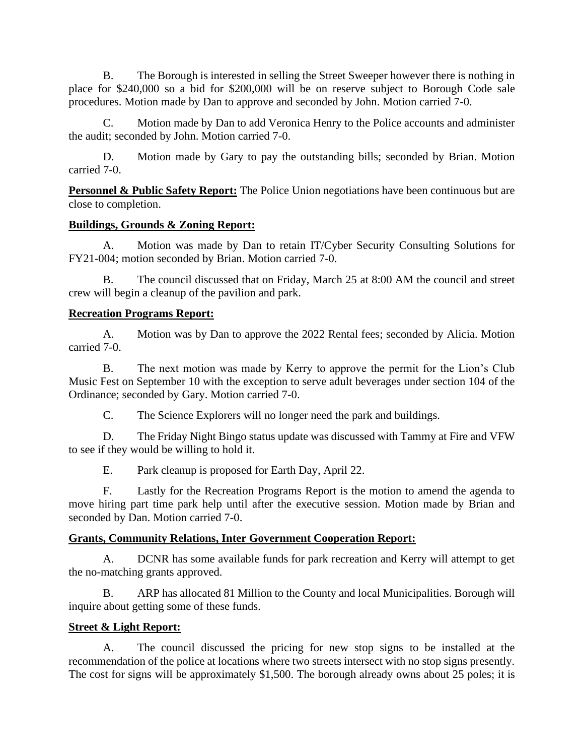B. The Borough is interested in selling the Street Sweeper however there is nothing in place for \$240,000 so a bid for \$200,000 will be on reserve subject to Borough Code sale procedures. Motion made by Dan to approve and seconded by John. Motion carried 7-0.

C. Motion made by Dan to add Veronica Henry to the Police accounts and administer the audit; seconded by John. Motion carried 7-0.

D. Motion made by Gary to pay the outstanding bills; seconded by Brian. Motion carried 7-0.

**Personnel & Public Safety Report:** The Police Union negotiations have been continuous but are close to completion.

## **Buildings, Grounds & Zoning Report:**

A. Motion was made by Dan to retain IT/Cyber Security Consulting Solutions for FY21-004; motion seconded by Brian. Motion carried 7-0.

B. The council discussed that on Friday, March 25 at 8:00 AM the council and street crew will begin a cleanup of the pavilion and park.

#### **Recreation Programs Report:**

A. Motion was by Dan to approve the 2022 Rental fees; seconded by Alicia. Motion carried 7-0.

B. The next motion was made by Kerry to approve the permit for the Lion's Club Music Fest on September 10 with the exception to serve adult beverages under section 104 of the Ordinance; seconded by Gary. Motion carried 7-0.

C. The Science Explorers will no longer need the park and buildings.

D. The Friday Night Bingo status update was discussed with Tammy at Fire and VFW to see if they would be willing to hold it.

E. Park cleanup is proposed for Earth Day, April 22.

F. Lastly for the Recreation Programs Report is the motion to amend the agenda to move hiring part time park help until after the executive session. Motion made by Brian and seconded by Dan. Motion carried 7-0.

## **Grants, Community Relations, Inter Government Cooperation Report:**

A. DCNR has some available funds for park recreation and Kerry will attempt to get the no-matching grants approved.

B. ARP has allocated 81 Million to the County and local Municipalities. Borough will inquire about getting some of these funds.

## **Street & Light Report:**

A. The council discussed the pricing for new stop signs to be installed at the recommendation of the police at locations where two streets intersect with no stop signs presently. The cost for signs will be approximately \$1,500. The borough already owns about 25 poles; it is